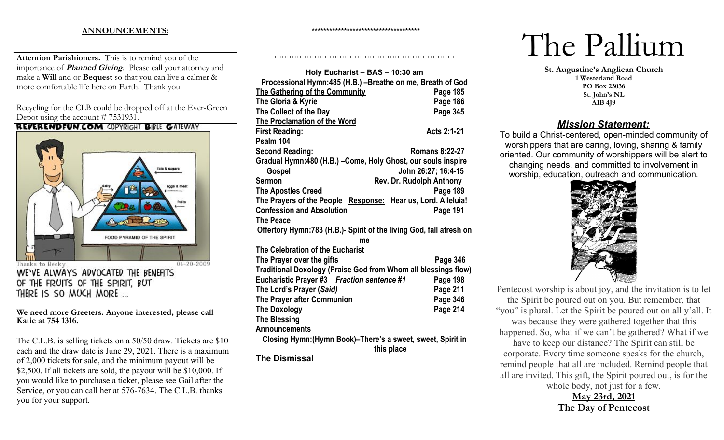## **ANNOUNCEMENTS:**

**\*\*\*\*\*\*\*\*\*\*\*\*\*\*\*\*\*\*\*\*\*\*\*\*\*\*\*\*\*\*\*\*\*\*\*\*\***

++++++++++++++++++++++++++++++++++++++++++++++++++++++++++++++++++++++++

**Attention Parishioners.** This is to remind you of the importance of **Planned Giving**. Please call your attorney and make a **Will** and or **Bequest** so that you can live a calmer & more comfortable life here on Earth. Thank you!

Recycling for the CLB could be dropped off at the Ever-Green Depot using the account # 7531931.<br>**REVERENDFUN.COM** COPYRIGHT BIBLE GATEWAY



WE'VE ALWAYS ADVOCATED THE BENEFITS OF THE FRUITS OF THE SPIRIT, BUT THERE IS SO MUCH MORE ...

**We need more Greeters. Anyone interested, please call Katie at 754 1316.** 

The C.L.B. is selling tickets on a 50/50 draw. Tickets are \$10 each and the draw date is June 29, 2021. There is a maximum of 2,000 tickets for sale, and the minimum payout will be \$2,500. If all tickets are sold, the payout will be \$10,000. If you would like to purchase a ticket, please see Gail after the Service, or you can call her at 576-7634. The C.L.B. thanks you for your support.

| Holy Eucharist - BAS - 10:30 am                                     |                          |  |
|---------------------------------------------------------------------|--------------------------|--|
| Processional Hymn:485 (H.B.) -Breathe on me, Breath of God          |                          |  |
| <b>The Gathering of the Community</b>                               | Page 185                 |  |
| The Gloria & Kyrie                                                  | Page 186                 |  |
| The Collect of the Day                                              | Page 345                 |  |
| The Proclamation of the Word                                        |                          |  |
| <b>First Reading:</b>                                               | Acts 2:1-21              |  |
| Psalm 104                                                           |                          |  |
| <b>Second Reading:</b>                                              | <b>Romans 8:22-27</b>    |  |
| Gradual Hymn:480 (H.B.) - Come, Holy Ghost, our souls inspire       |                          |  |
| <b>Gospel</b>                                                       | John 26:27; 16:4-15      |  |
| Sermon                                                              | Rev. Dr. Rudolph Anthony |  |
| <b>The Apostles Creed</b>                                           | Page 189                 |  |
| The Prayers of the People Response: Hear us, Lord. Alleluia!        |                          |  |
| <b>Confession and Absolution</b>                                    | Page 191                 |  |
| <b>The Peace</b>                                                    |                          |  |
| Offertory Hymn:783 (H.B.)- Spirit of the living God, fall afresh on |                          |  |
| me                                                                  |                          |  |
| The Celebration of the Eucharist                                    |                          |  |
| The Prayer over the gifts                                           | Page 346                 |  |
| Traditional Doxology (Praise God from Whom all blessings flow)      |                          |  |
| Eucharistic Prayer #3 Fraction sentence #1                          | Page 198                 |  |
| The Lord's Prayer (Said)                                            | Page 211                 |  |
| The Prayer after Communion                                          | Page 346                 |  |
| <b>The Doxology</b>                                                 | Page 214                 |  |
| <b>The Blessing</b>                                                 |                          |  |
| <b>Announcements</b>                                                |                          |  |
| Closing Hymn: (Hymn Book)-There's a sweet, sweet, Spirit in         | this place               |  |
| <b>The Dismissal</b>                                                |                          |  |

# The Pallium

**St. Augustine's Anglican Church 1 Westerland Road PO Box 23036 St. John's NL A1B 4J9**

# *Mission Statement:*

To build a Christ-centered, open-minded community of worshippers that are caring, loving, sharing & family oriented. Our community of worshippers will be alert to changing needs, and committed to involvement in worship, education, outreach and communication.



Pentecost worship is about joy, and the invitation is to let the Spirit be poured out on you. But remember, that "you" is plural. Let the Spirit be poured out on all y'all. It was because they were gathered together that this happened. So, what if we can't be gathered? What if we have to keep our distance? The Spirit can still be corporate. Every time someone speaks for the church, remind people that all are included. Remind people that all are invited. This gift, the Spirit poured out, is for the whole body, not just for a few.

**May 23rd, 2021 The Day of Pentecost**